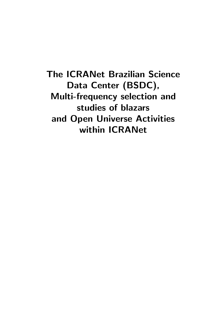The ICRANet Brazilian Science Data Center (BSDC), Multi-frequency selection and studies of blazars and Open Universe Activities within ICRANet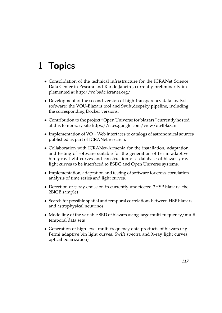# 1 Topics

- Consolidation of the technical infrastructure for the ICRANet Science Data Center in Pescara and Rio de Janeiro, currently preliminarily implemented at http://vo.bsdc.icranet.org/
- Development of the second version of high-transparency data analysis software: the VOU-Blazars tool and Swift deepsky pipeline, including the corresponding Docker versions.
- Contribution to the project "Open Universe for blazars" currently hosted at this temporary site https://sites.google.com/view/ou4blazars
- Implementation of VO + Web interfaces to catalogs of astronomical sources published as part of ICRANet research.
- Collaboration with ICRANet-Armenia for the installation, adaptation and testing of software suitable for the generation of Fermi adaptive bin *γ*-ray light curves and construction of a database of blazar *γ*-ray light curves to be interfaced to BSDC and Open Universe systems.
- Implementation, adaptation and testing of software for cross-correlation analysis of time series and light curves.
- Detection of *γ*-ray emission in currently undetected 3HSP blazars: the 2BIGB sample)
- Search for possible spatial and temporal correlations between HSP blazars and astrophysical neutrinos
- Modelling of the variable SED of blazars using large multi-frequency/multitemporal data sets
- Generation of high level multi-frequency data products of blazars (e.g. Fermi adaptive bin light curves, Swift spectra and X-ray light curves, optical polarization)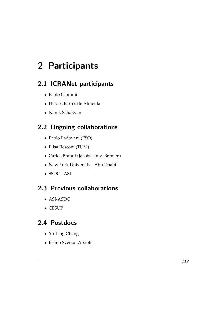# 2 Participants

## 2.1 ICRANet participants

- Paolo Giommi
- Ulisses Barres de Almeida
- Narek Sahakyan

## 2.2 Ongoing collaborations

- Paolo Padovani (ESO)
- Elisa Resconi (TUM)
- Carlos Brandt (Jacobs Univ. Bremen)
- New York University Abu Dhabi
- SSDC ASI

### 2.3 Previous collaborations

- ASI-ASDC
- CESUP

### 2.4 Postdocs

- Yu-Ling Chang
- Bruno Sversut Arsioli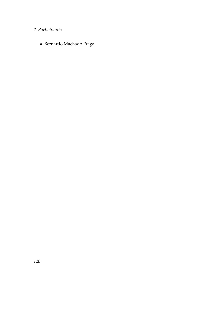• Bernardo Machado Fraga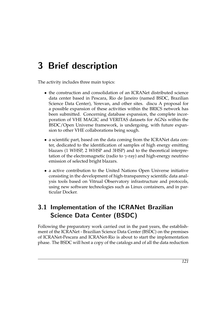# 3 Brief description

The activity includes three main topics:

- the construction and consolidation of an ICRANet distributed science data center based in Pescara, Rio de Janeiro (named BSDC, Brazilian Science Data Center), Yerevan, and other sites. discu A proposal for a possible expansion of these activities within the BRICS network has been submitted. Concerning database expansion, the complete incorporation of VHE MAGIC and VERITAS datasets for AGNs within the BSDC/Open Universe framework, is undergoing, with future expansion to other VHE collaborations being sough.
- a scientific part, based on the data coming from the ICRANet data center, dedicated to the identification of samples of high energy emitting blazars (1 WHSP, 2 WHSP and 3HSP) and to the theoretical interpretation of the electromagnetic (radio to *γ*-ray) and high-energy neutrino emission of selected bright blazars.
- a active contribution to the United Nations Open Universe initiative consisting in the development of high-transparency scientific data analysis tools based on Vitrual Observatory infrastructure and protocols, using new software technologies such as Linux containers, and in particular Docker.

## 3.1 Implementation of the ICRANet Brazilian Science Data Center (BSDC)

Following the preparatory work carried out in the past years, the establishment of the ICRANet - Brazilian Science Data Center (BSDC) on the premises of ICRANet-Pescara and ICRANet-Rio is about to start the implementation phase. The BSDC will host a copy of the catalogs and of all the data reduction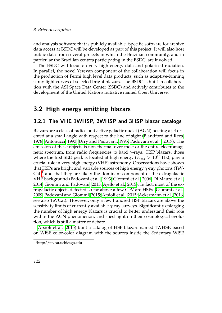and analysis software that is publicly available. Specific software for archive data access at BSDC will be developed as part of this project. It will also host public data from several projects in which the Brazilian community, and in particular the Brazilian centres participating in the BSDC, are involved.

The BSDC will focus on very high energy data and polarised radiation. In parallel, the novel Yerevan component of the collaboration will focus in the production of Fermi high level data products, such as adaptive-binning *γ*-ray light curves of selected bright blazars. The BSDC is built in collaboration with the ASI Space Data Center (SSDC) and actively contributes to the development of the United Nations initiative named Open Universe.

### 3.2 High energy emitting blazars

#### 3.2.1 The VHE 1WHSP, 2WHSP and 3HSP blazar catalogs

Blazars are a class of radio-loud active galactic nuclei (AGN) hosting a jet oriented at a small angle with respect to the line of sight [\(Blandford and Rees,](#page-21-0) [1978;](#page-21-0) [Antonucci, 1993;](#page-21-1) [Urry and Padovani, 1995;](#page-27-0) [Padovani et al. , 2017\)](#page-25-0). The emission of these objects is non-thermal over most or the entire electromagnetic spectrum, from radio frequencies to hard *γ*-rays. HSP blazars, those where the first SED peak is located at high energy ( $v_{peak} > 10^{15}$  Hz), play a crucial role in very high energy (VHE) astronomy. Observations have shown that HSPs are bright and variable sources of high energy *γ*-ray photons (TeV- $Cat$ <sup>[1](#page-7-0)</sup> and that they are likely the dominant component of the extragalactic VHE background [\(Padovani et al., 1993;](#page-25-1) [Giommi et al., 2006;](#page-24-0) [Di Mauro et al.,](#page-22-0) [2014;](#page-22-0) [Giommi and Padovani, 2015;](#page-24-1) [Ajello et al., 2015\)](#page-21-2). In fact, most of the extragalactic objects detected so far above a few GeV are HSPs [\(Giommi et al.,](#page-24-2) [2009;](#page-24-2) [Padovani and Giommi, 2015;](#page-25-2) [Arsioli et al., 2015;](#page-21-3) [Ackermann et al., 2016,](#page-20-0) see also TeVCat). However, only a few hundred HSP blazars are above the sensitivity limits of currently available *γ*-ray surveys. Significantly enlarging the number of high energy blazars is crucial to better understand their role within the AGN phenomenon, and shed light on their cosmological evolution, which is still a matter of debate.

[Arsioli et al.](#page-21-3) [\(2015\)](#page-21-3) built a catalog of HSP blazars named 1WHSP, based on WISE color-color diagram with the sources inside the *S*edentary WISE

<span id="page-7-0"></span><sup>1</sup>http://tevcat.uchicago.edu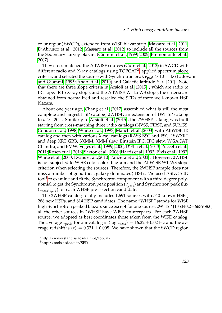color region( SWCD), extended from WISE blazar strip [\(Massaro et al., 2011;](#page-25-3) [D'Abrusco et al., 2012;](#page-22-1) [Massaro et al., 2012\)](#page-25-4) to include all the sources from the Sedentary survey blazars [\(Giommi et al., 1999,](#page-23-0) [2005;](#page-23-1) [Piranomonte et al.,](#page-26-0) [2007\)](#page-26-0).

They cross-matched the AllWISE sources [\(Cutri et al., 2013\)](#page-22-2) in SWCD with different radio and X-ray catalogs using TOPCAT<sup>[2](#page-8-0)</sup>, applied spectrum slope criteria, and selected the source with Synchrotron peak  $v_{peak} > 10^{15}$  Hz [\(Padov](#page-25-5)ani [and Giommi, 1995;](#page-25-5) [Abdo et al., 2010\)](#page-20-1) and Galactic latitude  $b > |20^{\circ}|$ . Note that there are three slope criteria in [Arsioli et al.](#page-21-3) [\(2015\)](#page-21-3) , which are radio to IR slope, IR to X-ray slope, and the AllWISE W1 to W3 slope; the criteria are obtained from normalized and rescaled the SEDs of three well-known HSP blazars.

About one year ago, [Chang et al.](#page-21-4) [\(2017\)](#page-21-4) assembled what is still the most complete and largest HSP catalog, 2WHSP, an extension of 1WHSP catalog to  $b > |20^\circ|$ . Similarly to [Arsioli et al.](#page-21-3) [\(2015\)](#page-21-3), the 2WHSP catalog was built starting from cross-matching three radio catalogs (NVSS, FIRST, and SUMSS: [Condon et al., 1998;](#page-22-3) [White et al., 1997;](#page-27-1) [Manch et al., 2003\)](#page-24-3) with AllWISE IR catalog and then with various X-ray catalogs (RASS BSC and FSC, 1SWXRT and deep XRT GRB, 3XMM, XMM slew, Einstein IPC, IPC slew, WGACAT, Chandra, and BMW: [Voges et al., 1999,](#page-27-2) [2000;](#page-27-3) [D'Elia et al., 2013;](#page-22-4) [Puccetti et al.,](#page-26-1) [2011;](#page-26-1) [Rosen et al., 2016;](#page-26-2) [Saxton et al., 2008;](#page-27-4) [Harris et al., 1993;](#page-24-4) [Elvis et al., 1992;](#page-23-2) [White et al., 2000;](#page-27-5) [Evans et al., 2010;](#page-23-3) [Panzera et al., 2003\)](#page-26-3). However, 2WHSP is not subjected to WISE color-color diagram and the AllWISE W1-W3 slope criterion when selecting the sources. Therefore, the 2WHSP sample does not miss a number of good (host galaxy dominated) HSPs. We used ASDC SED tool $^3$  $^3$  to examine and fit the Synchrotron component with a third degree polynomial to get the Synchrotron peak position (*ν*<sub>peak</sub>) and Synchrotron peak flux (*ν*p*eak*f*ν*p*eak* ) for each WHSP pre-selection candidate.

The 2WHSP catalog totally includes 1,691 sources with 540 known HSPs, 288 new HSPs, and 814 HSP candidates. The name "WHSP" stands for WISE high Synchrotron peaked blazars since except for one source, 2WHSP J135340.2−663958.0, all the other sources in 2WHSP have WISE counterparts. For each 2WHSP source, we adopted as best coordinates those taken from the WISE catalog. The average  $v_{peak}$  for our catalog is  $\langle \log v_{peak} \rangle = 16.22 \pm 0.02$  Hz and the average redshift is  $\langle z \rangle = 0.331 \pm 0.008$ . We have shown that the SWCD region

123

<span id="page-8-0"></span><sup>2</sup>http://www.star.bris.ac.uk/ mbt/topcat/

<span id="page-8-1"></span><sup>3</sup>http://tools.asdc.asi.it/SED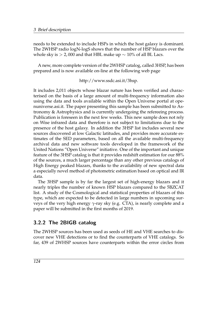needs to be extended to include HSPs in which the host galaxy is dominant. The 2WHSP radio logN-logS shows that the number of HSP blazars over the whole sky is > 2,000 and that HBL make up  $\sim$  10% of all BL Lacs.

A new, more complete version of the 2WHSP catalog, called 3HSP, has been prepared and is now available on-line at the following web page

http://www.ssdc.asi.it/3hsp.

It includes 2,011 objects whose blazar nature has been verified and characterised on the basis of a large amount of multi-frequency information also using the data and tools available within the Open Universe portal at openuniverse.asi.it. The paper presenting this sample has been submitted to Astronomy & Astrophysics and is currently undergoing the refereeing process. Publication is foreseen in the next few weeks. This new sample does not rely on Wise infrared data and therefore is not subject to limitations due to the presence of the host galaxy. In addition the 3HSP list includes several new sources discovered at low Galactic latitudes, and provides more accurate estimates of the SED parameters, based on all the available multi-frequency archival data and new software tools developed in the framework of the United Nations "Open Universe" initiative. One of the important and unique feature of the 3HSP catalog is that it provides redshift estimation for our 88% of the sources, a much larger percentage than any other previous catalogs of High Energy peaked blazars, thanks to the availability of new spectral data a especially novel method of photometric estimation based on optical and IR data.

The 3HSP sample is by far the largest set of high-energy blazars and it nearly triples the number of known HSP blazars compared to the 5BZCAT list. A study of the Cosmological and statistical properties of blazars of this type, which are expected to be detected in large numbers in upcoming surveys of the very high energy *γ*-ray sky (e.g. CTA), is nearly complete and a paper will be submitted in the first months of 2019.

#### 3.2.2 The 2BIGB catalog

The 2WHSP sources has been used as seeds of HE and VHE searches to discover new VHE detections or to find the counterparts of VHE catalogs. So far, 439 of 2WHSP sources have counterparts within the error circles from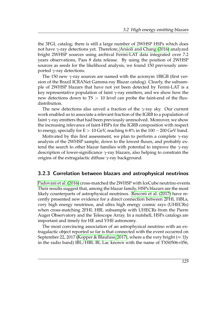the 3FGL catalog; there is still a large number of 2WHSP HSPs which does not have *γ*-ray detections yet. Therefore, [Arsioli and Chang](#page-21-5) [\(2016\)](#page-21-5) analyzed bright 2WHSP sources using archival Fermi-LAT data integrated over 7.2 years observations, Pass 8 data release. By using the position of 2WHSP sources as seeds for the likelihood analysis, we found 150 previously unreported *γ*-ray detections.

The 150 new *γ*-ray sources are named with the acronym 1BIGB (first version of the Brazil ICRANet Gamma-ray Blazar catalog). Clearly, the subsample of 2WHSP blazars that have not yet been detected by Fermi-LAT is a key representative population of faint *γ*-ray emitters, and we show how the new detections down to TS > 10 level can probe the faint-end of the fluxdistribution.

The new detections also unveil a fraction of the *γ*-ray sky. Our current work enabled us to associate a relevant fraction of the IGRB to a population of faint *γ*-ray emitters that had been previously unresolved. Moreover, we show the increasing relevance of faint-HSPs for the IGRB composition with respect to energy, specially for  $E > 10$  GeV, reaching 6-8% in the  $100 - 200$  GeV band.

Motivated by this first assessment, we plan to perform a complete *γ*-ray analysis of the 2WHSP sample, down to the lowest fluxes, and probably extend the search to other blazar families with potential to improve the *γ*-ray description of lower-significance *γ*-ray blazars, also helping to constrain the origins of the extragalactic diffuse *γ*-ray background.

#### 3.2.3 Correlation between blazars and astrophysical neutrinos

[Padovani et al.](#page-25-6) [\(2016\)](#page-25-6) cross-matched the 2WHSP with IceCube neutrino events. Their results suggest that, among the blazar family, HSPs blazars are the most likely counterparts of astrophysical neutrinos. [Resconi et al.](#page-26-4) [\(2017\)](#page-26-4) have recently presented new evidence for a direct connection between 2FHL HBLs, very high energy neutrinos, and ultra high energy cosmic rays (UHECRs) when cross-matching 2FHL HBL subsample with UHECRs from the Pierre Auger Observatory and the Telescope Array. In a nutshell, HSPs catalogs are important and timely for HE and VHE astronomy.

The most convincing association of an astrophysical neutrino with an extragalactic object reported so far is that connected with the event occurred on September 22, 2017 [\(Kopper & Blaufuss, 2017\)](#page-24-5), where a the very bright ( $\approx 1$ Jy in the radio band) IBL/HBL BL Lac known with the name of TXS0506+056,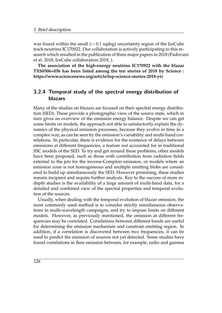was found within the small ( $\sim$  0.1 sqdeg) uncertainty region of the IceCube track neutrino IC170922. Our collaboration is actively participating to this research which resulted in the publication of three major papers in 2018 (Padovani et al. 2018, IceCube collaboration 2018, ).

**The association of the high-energy neutrino IC170922 with the blazar TXS0506+056 has been listed among the ten stories of 2018 by Science : https://www.sciencenews.org/article/top-science-stories-2018-yir**

#### 3.2.4 Temporal study of the spectral energy distribution of blazars

Many of the studies on blazars are focused on their spectral energy distribution (SED). These provide a photographic view of the source state, which in turn gives an overview of the emission energy balance. Despite we can get some limits on models, the approach not able to satisfactorily explain the dynamics of the physical emission processes, because they evolve in time in a complex way, as can be seen by the emission's variability and multi-band correlations. In particular, there is evidence for the existence of delays between emissions at different frequencies, a feature not accounted for in traditional SSC models of the SED. To try and get around these problems, other models have been proposed, such as those with contribution from radiation fields external to the jets for the inverse-Compton emission, or models where an emission zone is not homogeneous and multiple emitting blobs are considered to build up simultaneously the SED. However promising, these studies remain incipient and require further analysis. Key to the success of more indepth studies is the availability of a large amount of multi-band data, for a detailed and combined view of the spectral properties and temporal evolution of the sources.

Usually, when dealing with the temporal evolution of blazar emission, the most commonly used method is to consider strictly simultaneous observations in multi-wavelength campaigns, and try to impose limits on different models. However, as previously mentioned, the emission at different frequencies may be correlated. Correlations between different bands are useful for determining the emission mechanism and constrain emitting region. In addition, if a correlation is discovered between two frequencies, it can be used to predict the emission of sources not yet detected. Some studies have found correlations in flare emission between, for example, radio and gamma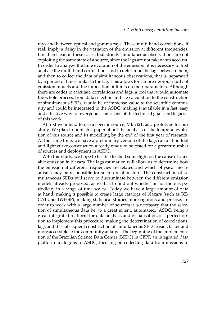rays and between optical and gamma rays. These multi-band correlations, if real, imply a delay in the variation of the emission at different frequencies. It is then clear, in these cases, that strictly simultaneous observations are not exploiting the same state of a source, since the lags are not taken into account. In order to analyze the time evolution of the emission, it is necessary to first analyse the multi-band correlations and to determine the lags between them, and then to collect the data of simultaneous observations, that is, separated by a period of time similar to the lag. This allows for a more rigorous study of emission models and the imposition of limits on their parameters. Although there are codes to calculate correlations and lags, a tool that would automate the whole process, from data selection and lag calculation to the construction of simultaneous SEDs, would be of immense value to the scientific community and could be integrated to the ASDC, making it available in a fast, easy and effective way for everyone. This is one of the technical goals and legacies of this work.

At first we intend to use a specific source, Mkn421, as a prototype for our study. We plan to publish a paper about the analysis of the temporal evolution of this source and its modelling by the end of the first year of research. At the same time, we have a preliminary version of the lags calculation tool and light curve construction already ready to be tested for a greater number of sources and deployment in ASDC.

With this study, we hope to be able to shed some light on the cause of variable emission in blazars. The lags estimation will allow us to determine how the emission at different frequencies are related and which physical mechanisms may be responsible for such a relationship. The construction of simultaneous SEDs will serve to discriminate between the different emission models already proposed, as well as to find out whether or not there is periodicity in a range of time scales. Today we have a large amount of data at hand, making it possible to create large catalogs of blazars (such as BZ-CAT and 1WHSP), making statistical studies more rigorous and precise. In order to work with a large number of sources it is necessary that the selection of simultaneous data be, to a great extent, automated. ASDC, being a great integrated platform for data analysis and visualisation, is a perfect option to implement this procedure, making the determination of correlations, lags and the subsequent construction of simultaneous SEDs easier, faster and more accessible to the community at large. The beginning of the implementation of the Brazilian Science Data Center (BSDC) in CBPF, an integrated data platform analogous to ASDC, focusing on collecting data from missions to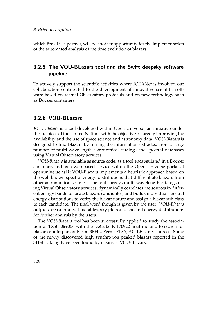which Brazil is a partner, will be another opportunity for the implementation of the automated analysis of the time evolution of blazars.

#### 3.2.5 The VOU-BLazars tool and the Swift deepsky software pipeline

To actively support the scientific activities where ICRANet is involved our collaboration contributed to the development of innovative scientific software based on Virtual Observatory protocols and on new technology such as Docker containers.

#### 3.2.6 VOU-BLazars

*VOU-Blazars* is a tool developed within Open Universe, an initiative under the auspices of the United Nations with the objective of largely improving the availability and the use of space science and astronomy data. *VOU-Blazars* is designed to find blazars by mining the information extracted from a large number of multi-wavelength astronomical catalogs and spectral databases using Virtual Observatory services.

*VOU-Blazars* is available as source code, as a tool encapsulated in a Docker container, and as a web-based service within the Open Universe portal at openuniverse.asi.it VOU-Blazars implements a heuristic approach based on the well known spectral energy distributions that differentiate blazars from other astronomical sources. The tool surveys multi-wavelength catalogs using Virtual Observatory services, dynamically correlates the sources in different energy bands to locate blazars candidates, and builds individual spectral energy distributions to verify the blazar nature and assign a blazar sub-class to each candidate. The final word though is given by the user: *VOU-Blazars* outputs are calibrated flux tables, sky plots and spectral energy distributions for further analysis by the users.

The *VOU-Blazars* tool has been successfully applied to study the association of TXS0506+056 with the IceCube IC170922 neutrino and to search for blazar counterpars of Fermi 3FHL, Fermi FL8Y, AGILE *γ*-ray sources. Some of the newly discovered high synchrotron peaked blazars reported in the 3HSP catalog have been found by means of VOU-Blazars.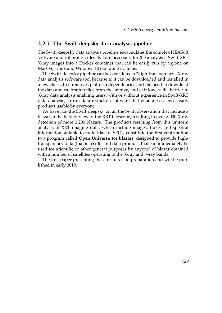#### 3.2.7 The Swift deepsky data analysis pipeline

The Swift deepsky data analysis pipeline encapsulates the complex HEASoft software and calibration files that are necessary for the analysis if Swift-XRT X-ray images into a Docker container that can be easily run by anyone on MacOS, Linux and Windows10 operating systems.

The Swift deepsky pipeline can be considered a "high-transparency" X-ray data analysis software tool because a) it can be downloaded and installed in a few clicks, b) it removes platform dependencies and the need to download the data and calibration files from the archive, and c) it lowers the barrier to X-ray data analysis enabling users, with or without experience in Swift-XRT data analysis, to run data reduction software that generates science ready products usable by everyone.

We have run the Swift deepsky on all the Swift observation that include a blazar in the field of view of the XRT telescope, resulting in over 8,000 X-ray detection of more 2,200 blazars. The products resulting from this uniform analysis of XRT imaging data, which include images, fluxes and spectral information suitable to build blazars SEDs, constitute the first contribution to a program called **Open Universe for blazars**, designed to provide hightransparency data (that is results and data products that can immediately be used for scientific or other general purposes by anyone) of blazar obtained with a number of satellites operating in the X-ray and *γ*-ray bands.

The first paper presenting these results is in preparation and will be published in early 2019.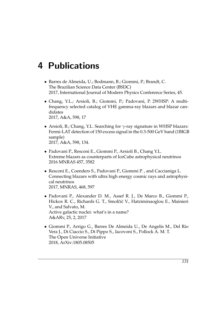## 4 Publications

- Barres de Almeida, U.; Bodmann, B.; Giommi, P.; Brandt, C. The Brazilian Science Data Center (BSDC) 2017, International Journal of Modern Physics Conference Series, 45.
- Chang, Y.L.; Arsioli, B.; Giommi, P.; Padovani, P. 2WHSP: A multifrequency selected catalog of VHE gamma-ray blazars and blazar candidates 2017, A&A, 598, 17
- Arsioli, B.; Chang, Y.L. Searching for *γ*-ray signature in WHSP blazars: Fermi-LAT detection of 150 excess signal in the 0.3-500 GeV band (1BIGB sample) 2017, A&A, 598, 134.
- Padovani P., Resconi E., Giommi P., Arsioli B., Chang Y.L. Extreme blazars as counterparts of IceCube astrophysical neutrinos 2016 MNRAS 457, 3582
- Resconi E., Coenders S., Padovani P., Giommi P. , and Caccianiga L. Connecting blazars with ultra high energy cosmic rays and astrophysical neutrinos 2017, MNRAS, 468, 597
- Padovani P., Alexander D. M., Assef R. J., De Marco B., Giommi P., Hickox R. C., Richards G. T., Smolčić V., Hatziminaoglou E., Mainieri V., and Salvato, M. Active galactic nuclei: what's in a name? A&ARv, 25, 2, 2017
- Giommi P., Arrigo G., Barres De Almeida U., De Angelis M., Del Rio Vera J., Di Ciaccio S., Di Pippo S., Iacovoni S., Pollock A. M. T. The Open Universe Initiative 2018, ArXiv:1805.08505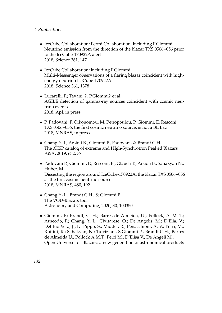- IceCube Collaboration; Fermi Collaboration, including P.Giommi Neutrino emission from the direction of the blazar TXS 0506+056 prior to the IceCube-170922A alert 2018, Science 361, 147
- IceCube Collaboration; including P.Giommi Multi-Messenger observations of a flaring blazar coincident with highenergy neutrino IceCube-170922A 2018. Science 361, 1378
- Lucarelli, F.; Tavani, ?. P.Giommi? et al. AGILE detection of gamma-ray sources coincident with cosmic neutrino events 2018, ApJ, in press.
- P. Padovani, F. Oikonomou, M. Petropoulou, P. Giommi, E. Resconi TXS 0506+056, the first cosmic neutrino source, is not a BL Lac 2018, MNRAS, in press
- Chang Y.-L, Arsioli B., Giommi P., Padovani, & Brandt C.H. The 3HSP catalog of extreme and HIgh-Synchrotron Peaked Blazars A&A, 2019, 632, 77
- Padovani P., Giommi, P., Resconi, E., Glauch T., Arsioli B., Sahakyan N., Huber, M. Dissecting the region around IceCube-170922A: the blazar TXS 0506+056 as the first cosmic neutrino source 2018, MNRAS, 480, 192
- Chang Y.-L., Brandt C.H., & Giommi P. The VOU-Blazars tool Astronomy and Computing, 2020, 30, 100350
- Giommi, P.; Brandt, C. H.; Barres de Almeida, U.; Pollock, A. M. T.; Arneodo, F.; Chang, Y. L.; Civitarese, O.; De Angelis, M.; D'Elia, V.; Del Rio Vera, J.; Di Pippo, S.; Middei, R.; Penacchioni, A. V.; Perri, M.; Ruffini, R.; Sahakyan, N.; Turriziani, S.Giommi P., Brandt C.H., Barres de Almeida U., Pollock A.M.T., Perri M., D'Elisa V., De Angeli M., Open Universe for Blazars: a new generation of astronomical products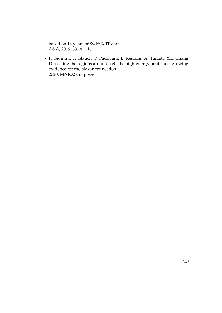based on 14 years of Swift-XRT data A&A, 2019, 631A, 116

• P. Giommi, T. Glauch, P. Padovani, E. Resconi, A. Turcati, Y.L. Chang Dissecting the regions around IceCube high-energy neutrinos: growing evidence for the blazar connection. 2020, MNRAS, in press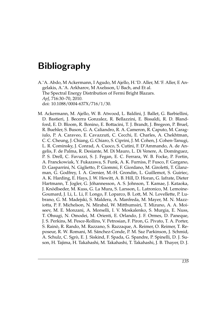## Bibliography

- <span id="page-20-1"></span>A.˜A. Abdo, M Ackermann, I Agudo, M Ajello, H.˜D. Aller, M.˜F. Aller, E Angelakis, A.˜A. Arkharov, M Axelsson, U Bach, and Et al. The Spectral Energy Distribution of Fermi Bright Blazars. *ApJ*, 716:30–70, 2010. doi: 10.1088/0004-637X/716/1/30.
- <span id="page-20-0"></span>M. Ackermann, M. Ajello, W. B. Atwood, L. Baldini, J. Ballet, G. Barbiellini, D. Bastieri, J. Becerra Gonzalez, R. Bellazzini, E. Bissaldi, R. D. Blandford, E. D. Bloom, R. Bonino, E. Bottacini, T. J. Brandt, J. Bregeon, P. Bruel, R. Buehler, S. Buson, G. A. Caliandro, R. A. Cameron, R. Caputo, M. Caragiulo, P. A. Caraveo, E. Cavazzuti, C. Cecchi, E. Charles, A. Chekhtman, C. C. Cheung, J. Chiang, G. Chiaro, S. Ciprini, J. M. Cohen, J. Cohen-Tanugi, L. R. Cominsky, J. Conrad, A. Cuoco, S. Cutini, F. D'Ammando, A. de Angelis, F. de Palma, R. Desiante, M. Di Mauro, L. Di Venere, A. Domínguez, P. S. Drell, C. Favuzzi, S. J. Fegan, E. C. Ferrara, W. B. Focke, P. Fortin, A. Franckowiak, Y. Fukazawa, S. Funk, A. K. Furniss, P. Fusco, F. Gargano, D. Gasparrini, N. Giglietto, P. Giommi, F. Giordano, M. Giroletti, T. Glanzman, G. Godfrey, I. A. Grenier, M.-H. Grondin, L. Guillemot, S. Guiriec, A. K. Harding, E. Hays, J. W. Hewitt, A. B. Hill, D. Horan, G. Iafrate, Dieter Hartmann, T. Jogler, G. Johannesson, A. S. Johnson, T. Kamae, J. Kataoka, ´ J. Knödlseder, M. Kuss, G. La Mura, S. Larsson, L. Latronico, M. Lemoine-Goumard, J. Li, L. Li, F. Longo, F. Loparco, B. Lott, M. N. Lovellette, P. Lubrano, G. M. Madejski, S. Maldera, A. Manfreda, M. Mayer, M. N. Mazziotta, P. F. Michelson, N. Mirabal, W. Mitthumsiri, T. Mizuno, A. A. Moiseev, M. E. Monzani, A. Morselli, I. V. Moskalenko, S. Murgia, E. Nuss, T. Ohsugi, N. Omodei, M. Orienti, E. Orlando, J. F. Ormes, D. Paneque, J. S. Perkins, M. Pesce-Rollins, V. Petrosian, F. Piron, G. Pivato, T. A. Porter, S. Rainò, R. Rando, M. Razzano, S. Razzaque, A. Reimer, O. Reimer, T. Reposeur, R. W. Romani, M. Sanchez-Conde, P. M. Saz Parkinson, J. Schmid, ´ A. Schulz, C. Sgro, E. J. Siskind, F. Spada, G. Spandre, P. Spinelli, D. J. Su- ` son, H. Tajima, H. Takahashi, M. Takahashi, T. Takahashi, J. B. Thayer, D. J.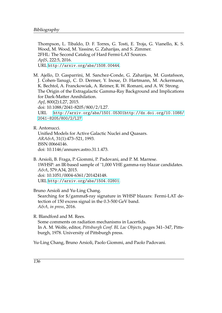Thompson, L. Tibaldo, D. F. Torres, G. Tosti, E. Troja, G. Vianello, K. S. Wood, M. Wood, M. Yassine, G. Zaharijas, and S. Zimmer. 2FHL: The Second Catalog of Hard Fermi-LAT Sources. *ApJS*, 222:5, 2016. URL <http://arxiv.org/abs/1508.00444>.

<span id="page-21-2"></span>M. Ajello, D. Gasparrini, M. Sanchez-Conde, G. Zaharijas, M. Gustafsson, J. Cohen-Tanugi, C. D. Dermer, Y. Inoue, D. Hartmann, M. Ackermann, K. Bechtol, A. Franckowiak, A. Reimer, R. W. Romani, and A. W. Strong. The Origin of the Extragalactic Gamma-Ray Background and Implications for Dark-Matter Annihilation. *ApJ*, 800(2):L27, 2015. doi: 10.1088/2041-8205/800/2/L27. URL [http://arxiv.org/abs/1501.05301http://dx.doi.org/10.1088/](http://arxiv.org/abs/1501.05301 http://dx.doi.org/10.1088/2041-8205/800/2/L27) [2041-8205/800/2/L27](http://arxiv.org/abs/1501.05301 http://dx.doi.org/10.1088/2041-8205/800/2/L27).

<span id="page-21-1"></span>R. Antonucci.

Unified Models for Active Galactic Nuclei and Quasars. *ARA&A*, 31(1):473–521, 1993. ISSN 00664146. doi: 10.1146/annurev.astro.31.1.473.

<span id="page-21-3"></span>B. Arsioli, B. Fraga, P. Giommi, P. Padovani, and P. M. Marrese. 1WHSP: an IR-based sample of ˜1,000 VHE gamma-ray blazar candidates. *A&A*, 579:A34, 2015. doi: 10.1051/0004-6361/201424148. URL <http://arxiv.org/abs/1504.02801>.

<span id="page-21-5"></span>Bruno Arsioli and Yu-Ling Chang. Searching for \$/gamma\$-ray signature in WHSP blazars: Fermi-LAT detection of 150 excess signal in the 0.3-500 GeV band. *A&A, in press*, 2016.

<span id="page-21-0"></span>R. Blandford and M. Rees.

Some comments on radiation mechanisms in Lacertids. In A. M. Wolfe, editor, *Pittsburgh Conf. BL Lac Objects*, pages 341–347, Pittsburgh, 1978. University of Pittsburgh press.

<span id="page-21-4"></span>Yu-Ling Chang, Bruno Arsioli, Paolo Giommi, and Paolo Padovani.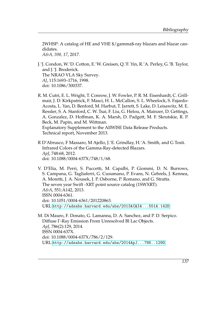2WHSP: A catalog of HE and VHE \$/gamma\$-ray blazars and blazar candidates. *A&A, 598, 17*, 2017.

- <span id="page-22-3"></span>J.˜J. Condon, W.˜D. Cotton, E.˜W. Greisen, Q.˜F. Yin, R.˜A. Perley, G.˜B. Taylor, and J.˜J. Broderick. The NRAO VLA Sky Survey. *AJ*, 115:1693–1716, 1998. doi: 10.1086/300337.
- <span id="page-22-2"></span>R. M. Cutri, E. L. Wright, T. Conrow, J. W. Fowler, P. R. M. Eisenhardt, C. Grillmair, J. D. Kirkpatrick, F. Masci, H. L. McCallon, S. L. Wheelock, S. Fajardo-Acosta, L. Yan, D. Benford, M. Harbut, T. Jarrett, S. Lake, D. Leisawitz, M. E. Ressler, S. A. Stanford, C. W. Tsai, F. Liu, G. Helou, A. Mainzer, D. Gettings, A. Gonzalez, D. Hoffman, K. A. Marsh, D. Padgett, M. F. Skrutskie, R. P. Beck, M. Papin, and M. Wittman. Explanatory Supplement to the AllWISE Data Release Products. Technical report, November 2013.
- <span id="page-22-1"></span>R D'Abrusco, F Massaro, M Ajello, J.˜E. Grindlay, H.˜A. Smith, and G Tosti. Infrared Colors of the Gamma-Ray-detected Blazars. *ApJ*, 748:68, 2012. doi: 10.1088/0004-637X/748/1/68.

<span id="page-22-4"></span>V. D'Elia, M. Perri, S. Puccetti, M. Capalbi, P. Giommi, D. N. Burrows, S. Campana, G. Tagliaferri, G. Cusumano, P. Evans, N. Gehrels, J. Kennea, A. Moretti, J. A. Nousek, J. P. Osborne, P. Romano, and G. Stratta. The seven year Swift -XRT point source catalog (1SWXRT). *A&A*, 551:A142, 2013. ISSN 0004-6361. doi: 10.1051/0004-6361/201220863. URL <http://adsabs.harvard.edu/abs/2013A{&}A...551A.142D>.

<span id="page-22-0"></span>M. Di Mauro, F. Donato, G. Lamanna, D. A. Sanchez, and P. D. Serpico. Diffuse Γ-Ray Emission From Unresolved Bl Lac Objects. *ApJ*, 786(2):129, 2014. ISSN 0004-637X. doi: 10.1088/0004-637X/786/2/129. URL <http://adsabs.harvard.edu/abs/2014ApJ...786..129D>.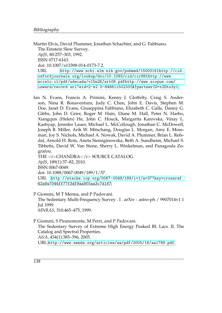<span id="page-23-2"></span>Martin Elvis, David Plummer, Jonathan Schachter, and G. Fabbiano. The Einstein Slew Survey. *ApJS*, 80:257–303, 1992. ISSN 0717-6163. doi: 10.1007/s13398-014-0173-7.2. URL [http://www.ncbi.nlm.nih.gov/pubmed/15003161http://cid.](http://www.ncbi.nlm.nih.gov/pubmed/15003161 http://cid.oxfordjournals.org/lookup/doi/10.1093/cid/cir991 http://www.scielo.cl/pdf/udecada/v15n26/art06.pdf http://www.scopus.com/inward/record.url?eid=2-s2.0-84861150233{&}partnerID=tZOtx3y1) [oxfordjournals.org/lookup/doi/10.1093/cid/cir991http://www.](http://www.ncbi.nlm.nih.gov/pubmed/15003161 http://cid.oxfordjournals.org/lookup/doi/10.1093/cid/cir991 http://www.scielo.cl/pdf/udecada/v15n26/art06.pdf http://www.scopus.com/inward/record.url?eid=2-s2.0-84861150233{&}partnerID=tZOtx3y1) [scielo.cl/pdf/udecada/v15n26/art06.pdfhttp://www.scopus.com/](http://www.ncbi.nlm.nih.gov/pubmed/15003161 http://cid.oxfordjournals.org/lookup/doi/10.1093/cid/cir991 http://www.scielo.cl/pdf/udecada/v15n26/art06.pdf http://www.scopus.com/inward/record.url?eid=2-s2.0-84861150233{&}partnerID=tZOtx3y1) [inward/record.url?eid=2-s2.0-84861150233{&}partnerID=tZOtx3y1](http://www.ncbi.nlm.nih.gov/pubmed/15003161 http://cid.oxfordjournals.org/lookup/doi/10.1093/cid/cir991 http://www.scielo.cl/pdf/udecada/v15n26/art06.pdf http://www.scopus.com/inward/record.url?eid=2-s2.0-84861150233{&}partnerID=tZOtx3y1).

<span id="page-23-3"></span>Ian N. Evans, Francis A. Primini, Kenny J. Glotfelty, Craig S. Anderson, Nina R. Bonaventura, Judy C. Chen, John E. Davis, Stephen M. Doe, Janet D. Evans, Giuseppina Fabbiano, Elizabeth C. Galle, Danny G. Gibbs, John D. Grier, Roger M. Hain, Diane M. Hall, Peter N. Harbo, Xiangqun (Helen) He, John C. Houck, Margarita Karovska, Vinay L. Kashyap, Jennifer Lauer, Michael L. McCollough, Jonathan C. McDowell, Joseph B. Miller, Arik W. Mitschang, Douglas L. Morgan, Amy E. Mossman, Joy S. Nichols, Michael A. Nowak, David A. Plummer, Brian L. Refsdal, Arnold H. Rots, Aneta Siemiginowska, Beth A. Sundheim, Michael S. Tibbetts, David W. Van Stone, Sherry L. Winkelman, and Panagoula Zografou. THE <i>CHANDRA</i> SOURCE CATALOG.

*ApJS*, 189(1):37–82, 2010. ISSN 0067-0049. doi: 10.1088/0067-0049/189/1/37. URL [http://stacks.iop.org/0067-0049/189/i=1/a=37?key=crossref.](http://stacks.iop.org/0067-0049/189/i=1/a=37?key=crossref.42a9a7044ff77f3df9aa9f5aa3c7d167) [42a9a7044ff77f3df9aa9f5aa3c7d167](http://stacks.iop.org/0067-0049/189/i=1/a=37?key=crossref.42a9a7044ff77f3df9aa9f5aa3c7d167).

<span id="page-23-0"></span>P Giommi, M T Menna, and P Padovani. The Sedentary Multi-Frequency Survey . I . arXiv : astro-ph / 9907014v1 1 Jul 1999. *MNRAS*, 310:465–475, 1999.

<span id="page-23-1"></span>P Giommi, S Piranomonte, M Perri, and P Padovani. The Sedentary Survey of Extreme High Energy Peaked BL Lacs. II. The Catalog and Spectral Properties. *A&A*, 434(1):385–396, 2005. URL <http://www.aanda.org/articles/aa/pdf/2005/16/aa1789.pdf>.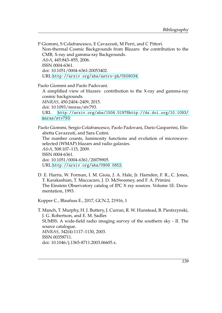<span id="page-24-0"></span>P Giommi, S Colafrancesco, E Cavazzuti, M Perri, and C Pittori. Non-thermal Cosmic Backgrounds from Blazars: the contribution to the CMB, X-ray and gamma-ray Backgrounds. *A&A*, 445:843–855, 2006. ISSN 0004-6361. doi: 10.1051/0004-6361:20053402. URL <http://arxiv.org/abs/astro-ph/0508034>.

<span id="page-24-1"></span>Paolo Giommi and Paolo Padovani.

A simplified view of blazars: contribution to the X-ray and gamma-ray cosmic backgrounds. *MNRAS*, 450:2404–2409, 2015. doi: 10.1093/mnras/stv793. URL [http://arxiv.org/abs/1504.01978http://dx.doi.org/10.1093/](http://arxiv.org/abs/1504.01978 http://dx.doi.org/10.1093/mnras/stv793) [mnras/stv793](http://arxiv.org/abs/1504.01978 http://dx.doi.org/10.1093/mnras/stv793).

<span id="page-24-2"></span>Paolo Giommi, Sergio Colafrancesco, Paolo Padovani, Dario Gasparrini, Elisabetta Cavazzuti, and Sara Cutini.

The number counts, luminosity functions and evolution of microwaveselected (WMAP) blazars and radio galaxies. *A&A*, 508:107–115, 2009. ISSN 0004-6361. doi: 10.1051/0004-6361/20078905. URL <http://arxiv.org/abs/0908.0652>.

<span id="page-24-4"></span>D. E. Harris, W. Forman, I. M. Gioia, J. A. Hale, Jr. Harnden, F. R., C. Jones, T. Karakashian, T. Maccacaro, J. D. McSweeney, and F. A. Primini. The Einstein Observatory catalog of IPC X ray sources. Volume 1E: Documentation, 1993.

<span id="page-24-5"></span>Kopper C., Blaufuss E., 2017, GCN.2, 21916, 1

<span id="page-24-3"></span>T. Manch, T. Murphy, H. J. Buttery, J. Curran, R. W. Hunstead, B. Piestrzynski, J. G. Robertson, and E. M. Sadler. SUMSS: A wide-field radio imaging survey of the southern sky - II. The source catalogue. *MNRAS*, 342(4):1117–1130, 2003. ISSN 00358711. doi: 10.1046/j.1365-8711.2003.06605.x.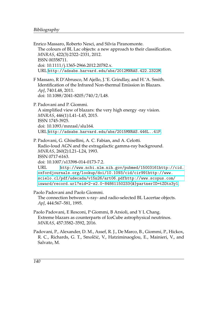- <span id="page-25-4"></span><span id="page-25-3"></span><span id="page-25-2"></span>Enrico Massaro, Roberto Nesci, and Silvia Piranomonte. The colours of BL Lac objects: a new approach to their classification. *MNRAS*, 422(3):2322–2331, 2012. ISSN 00358711. doi: 10.1111/j.1365-2966.2012.20782.x. URL <http://adsabs.harvard.edu/abs/2012MNRAS.422.2322M>. F Massaro, R D'Abrusco, M Ajello, J.˜E. Grindlay, and H.˜A. Smith. Identification of the Infrared Non-thermal Emission in Blazars. *ApJ*, 740:L48, 2011. doi: 10.1088/2041-8205/740/2/L48. P. Padovani and P. Giommi. A simplified view of blazars: the very high energy -ray vision. *MNRAS*, 446(1):L41–L45, 2015. ISSN 1745-3925. doi: 10.1093/mnrasl/slu164. URL <http://adsabs.harvard.edu/abs/2015MNRAS.446L..41P>. P. Padovani, G. Ghisellini, A. C. Fabian, and A. Celotti. Radio-loud AGN and the extragalactic gamma-ray background. *MNRAS*, 260(2):L21–L24, 1993. ISSN 0717-6163. doi: 10.1007/s13398-014-0173-7.2. URL [http://www.ncbi.nlm.nih.gov/pubmed/15003161http://cid.](http://www.ncbi.nlm.nih.gov/pubmed/15003161 http://cid.oxfordjournals.org/lookup/doi/10.1093/cid/cir991 http://www.scielo.cl/pdf/udecada/v15n26/art06.pdf http://www.scopus.com/inward/record.url?eid=2-s2.0-84861150233{&}partnerID=tZOtx3y1) [oxfordjournals.org/lookup/doi/10.1093/cid/cir991http://www.](http://www.ncbi.nlm.nih.gov/pubmed/15003161 http://cid.oxfordjournals.org/lookup/doi/10.1093/cid/cir991 http://www.scielo.cl/pdf/udecada/v15n26/art06.pdf http://www.scopus.com/inward/record.url?eid=2-s2.0-84861150233{&}partnerID=tZOtx3y1) [scielo.cl/pdf/udecada/v15n26/art06.pdfhttp://www.scopus.com/](http://www.ncbi.nlm.nih.gov/pubmed/15003161 http://cid.oxfordjournals.org/lookup/doi/10.1093/cid/cir991 http://www.scielo.cl/pdf/udecada/v15n26/art06.pdf http://www.scopus.com/inward/record.url?eid=2-s2.0-84861150233{&}partnerID=tZOtx3y1) [inward/record.url?eid=2-s2.0-84861150233{&}partnerID=tZOtx3y1](http://www.ncbi.nlm.nih.gov/pubmed/15003161 http://cid.oxfordjournals.org/lookup/doi/10.1093/cid/cir991 http://www.scielo.cl/pdf/udecada/v15n26/art06.pdf http://www.scopus.com/inward/record.url?eid=2-s2.0-84861150233{&}partnerID=tZOtx3y1). Paolo Padovani and Paolo Giommi. The connection between x-ray- and radio-selected BL Lacertae objects. *ApJ*, 444:567–581, 1995. Paolo Padovani, E Resconi, P Giommi, B Arsioli, and Y L Chang. Extreme blazars as counterparts of IceCube astrophysical neutrinos. *MNRAS*, 457:3582–3592, 2016.
- <span id="page-25-6"></span><span id="page-25-5"></span><span id="page-25-1"></span><span id="page-25-0"></span>Padovani, P., Alexander, D. M., Assef, R. J., De Marco, B., Giommi, P., Hickox, R. C., Richards, G. T., Smolčić, V., Hatziminaoglou, E., Mainieri, V., and Salvato, M.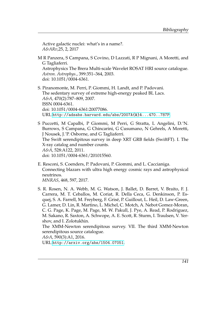Active galactic nuclei: what's in a name?. *A&ARv*,25, 2, 2017

<span id="page-26-3"></span>M R Panzera, S Campana, S Covino, D Lazzati, R P Mignani, A Moretti, and G Tagliaferri. Astrophysics The Brera Multi-scale Wavelet ROSAT HRI source catalogue. *Astron. Astrophys.*, 399:351–364, 2003.

doi: 10.1051/0004-6361.

- <span id="page-26-0"></span>S. Piranomonte, M. Perri, P. Giommi, H. Landt, and P. Padovani. The sedentary survey of extreme high-energy peaked BL Lacs. *A&A*, 470(2):787–809, 2007. ISSN 0004-6361. doi: 10.1051/0004-6361:20077086. URL <http://adsabs.harvard.edu/abs/2007A{&}A...470..787P>.
- <span id="page-26-1"></span>S Puccetti, M Capalbi, P Giommi, M Perri, G Stratta, L Angelini, D.˜N. Burrows, S Campana, G Chincarini, G Cusumano, N Gehrels, A Moretti, J Nousek, J.˜P. Osborne, and G Tagliaferri. The Swift serendipitous survey in deep XRT GRB fields (SwiftFT). I. The X-ray catalog and number counts. *A&A*, 528:A122, 2011. doi: 10.1051/0004-6361/201015560.
- <span id="page-26-4"></span>E. Resconi, S. Coenders, P. Padovani, P. Giommi, and L. Caccianiga. Connecting blazars with ultra high energy cosmic rays and astrophysical neutrinos. *MNRAS*, 468, 597, 2017.
- <span id="page-26-2"></span>S. R. Rosen, N. A. Webb, M. G. Watson, J. Ballet, D. Barret, V. Braito, F. J. Carrera, M. T. Ceballos, M. Coriat, R. Della Ceca, G. Denkinson, P. Esquej, S. A. Farrell, M. Freyberg, F. Grisé, P. Guillout, L. Heil, D. Law-Green, G. Lamer, D. Lin, R. Martino, L. Michel, C. Motch, A. Nebot Gomez-Moran, C. G. Page, K. Page, M. Page, M. W. Pakull, J. Pye, A. Read, P. Rodriguez, M. Sakano, R. Saxton, A. Schwope, A. E. Scott, R. Sturm, I. Traulsen, V. Yershov, and I. Zolotukhin.

The XMM-Newton serendipitous survey. VII. The third XMM-Newton serendipitous source catalogue.

*A&A*, 590(3):A1, 2016.

URL <http://arxiv.org/abs/1504.07051>.